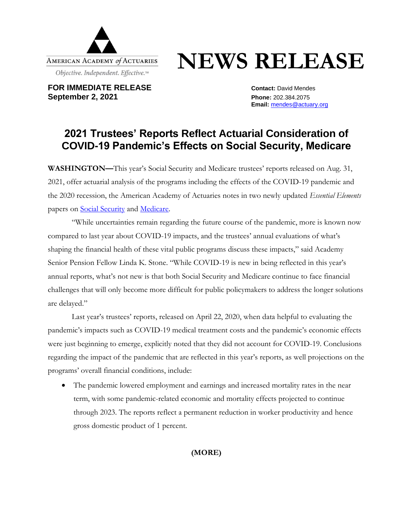

## **NEWS RELEASE**

**FOR IMMEDIATE RELEASE CONTACT:** David Mendes **September 2, 2021 Phone:** 202.384.2075

**Email:** [mendes@actuary.org](mailto:mendes@actuary.org)

## **2021 Trustees' Reports Reflect Actuarial Consideration of COVID-19 Pandemic's Effects on Social Security, Medicare**

**WASHINGTON—**This year's Social Security and Medicare trustees' reports released on Aug. 31, 2021, offer actuarial analysis of the programs including the effects of the COVID-19 pandemic and the 2020 recession, the American Academy of Actuaries notes in two newly updated *Essential Elements* papers on [Social Security](https://www.actuary.org/sites/default/files/2021-09/EE.SocSecHealth9.21.pdf) and [Medicare.](https://www.actuary.org/sites/default/files/2021-09/EEMedicareChlng.9.21.pdf)

"While uncertainties remain regarding the future course of the pandemic, more is known now compared to last year about COVID-19 impacts, and the trustees' annual evaluations of what's shaping the financial health of these vital public programs discuss these impacts," said Academy Senior Pension Fellow Linda K. Stone. "While COVID-19 is new in being reflected in this year's annual reports, what's not new is that both Social Security and Medicare continue to face financial challenges that will only become more difficult for public policymakers to address the longer solutions are delayed."

Last year's trustees' reports, released on April 22, 2020, when data helpful to evaluating the pandemic's impacts such as COVID-19 medical treatment costs and the pandemic's economic effects were just beginning to emerge, explicitly noted that they did not account for COVID-19. Conclusions regarding the impact of the pandemic that are reflected in this year's reports, as well projections on the programs' overall financial conditions, include:

The pandemic lowered employment and earnings and increased mortality rates in the near term, with some pandemic-related economic and mortality effects projected to continue through 2023. The reports reflect a permanent reduction in worker productivity and hence gross domestic product of 1 percent.

**(MORE)**